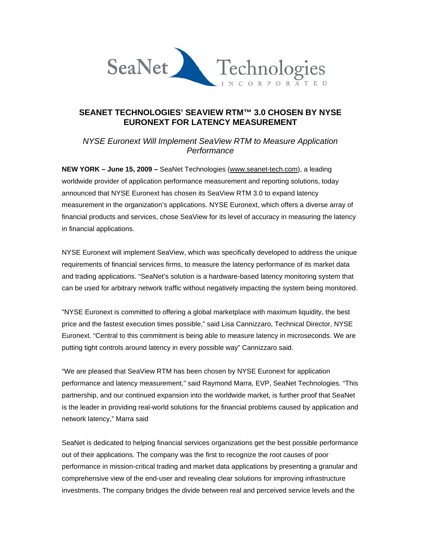

## **SEANET TECHNOLOGIES' SEAVIEW RTM™ 3.0 CHOSEN BY NYSE EURONEXT FOR LATENCY MEASUREMENT**

*NYSE Euronext Will Implement SeaView RTM to Measure Application Performance* 

**NEW YORK – June 15, 2009 –** SeaNet Technologies (www.seanet-tech.com), a leading worldwide provider of application performance measurement and reporting solutions, today announced that NYSE Euronext has chosen its SeaView RTM 3.0 to expand latency measurement in the organization's applications. NYSE Euronext, which offers a diverse array of financial products and services, chose SeaView for its level of accuracy in measuring the latency in financial applications.

NYSE Euronext will implement SeaView, which was specifically developed to address the unique requirements of financial services firms, to measure the latency performance of its market data and trading applications. "SeaNet's solution is a hardware-based latency monitoring system that can be used for arbitrary network traffic without negatively impacting the system being monitored.

"NYSE Euronext is committed to offering a global marketplace with maximum liquidity, the best price and the fastest execution times possible," said Lisa Cannizzaro, Technical Director, NYSE Euronext. "Central to this commitment is being able to measure latency in microseconds. We are putting tight controls around latency in every possible way" Cannizzaro said.

"We are pleased that SeaView RTM has been chosen by NYSE Euronext for application performance and latency measurement," said Raymond Marra, EVP, SeaNet Technologies. "This partnership, and our continued expansion into the worldwide market, is further proof that SeaNet is the leader in providing real-world solutions for the financial problems caused by application and network latency," Marra said

SeaNet is dedicated to helping financial services organizations get the best possible performance out of their applications. The company was the first to recognize the root causes of poor performance in mission-critical trading and market data applications by presenting a granular and comprehensive view of the end-user and revealing clear solutions for improving infrastructure investments. The company bridges the divide between real and perceived service levels and the